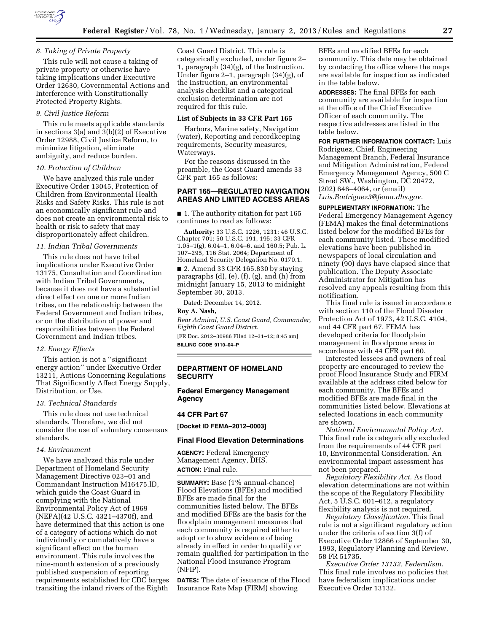

### *8. Taking of Private Property*

This rule will not cause a taking of private property or otherwise have taking implications under Executive Order 12630, Governmental Actions and Interference with Constitutionally Protected Property Rights.

### *9. Civil Justice Reform*

This rule meets applicable standards in sections 3(a) and 3(b)(2) of Executive Order 12988, Civil Justice Reform, to minimize litigation, eliminate ambiguity, and reduce burden.

### *10. Protection of Children*

We have analyzed this rule under Executive Order 13045, Protection of Children from Environmental Health Risks and Safety Risks. This rule is not an economically significant rule and does not create an environmental risk to health or risk to safety that may disproportionately affect children.

### *11. Indian Tribal Governments*

This rule does not have tribal implications under Executive Order 13175, Consultation and Coordination with Indian Tribal Governments, because it does not have a substantial direct effect on one or more Indian tribes, on the relationship between the Federal Government and Indian tribes, or on the distribution of power and responsibilities between the Federal Government and Indian tribes.

### *12. Energy Effects*

This action is not a ''significant energy action'' under Executive Order 13211, Actions Concerning Regulations That Significantly Affect Energy Supply, Distribution, or Use.

# *13. Technical Standards*

This rule does not use technical standards. Therefore, we did not consider the use of voluntary consensus standards.

### *14. Environment*

We have analyzed this rule under Department of Homeland Security Management Directive 023–01 and Commandant Instruction M16475.lD, which guide the Coast Guard in complying with the National Environmental Policy Act of 1969 (NEPA)(42 U.S.C. 4321–4370f), and have determined that this action is one of a category of actions which do not individually or cumulatively have a significant effect on the human environment. This rule involves the nine-month extension of a previously published suspension of reporting requirements established for CDC barges transiting the inland rivers of the Eighth

Coast Guard District. This rule is categorically excluded, under figure 2– 1, paragraph (34)(g), of the Instruction. Under figure 2–1, paragraph (34)(g), of the Instruction, an environmental analysis checklist and a categorical exclusion determination are not required for this rule.

### **List of Subjects in 33 CFR Part 165**

Harbors, Marine safety, Navigation (water), Reporting and recordkeeping requirements, Security measures, Waterways.

For the reasons discussed in the preamble, the Coast Guard amends 33 CFR part 165 as follows:

### **PART 165—REGULATED NAVIGATION AREAS AND LIMITED ACCESS AREAS**

■ 1. The authority citation for part 165 continues to read as follows:

**Authority:** 33 U.S.C. 1226, 1231; 46 U.S.C. Chapter 701; 50 U.S.C. 191, 195; 33 CFR 1.05–1(g), 6.04–1, 6.04–6, and 160.5; Pub. L. 107–295, 116 Stat. 2064; Department of Homeland Security Delegation No. 0170.1.

■ 2. Amend 33 CFR 165.830 by staying paragraphs (d), (e), (f), (g), and (h) from midnight January 15, 2013 to midnight September 30, 2013.

Dated: December 14, 2012.

### **Roy A. Nash,**

*Rear Admiral, U.S. Coast Guard, Commander, Eighth Coast Guard District.* 

[FR Doc. 2012–30986 Filed 12–31–12; 8:45 am] **BILLING CODE 9110–04–P** 

# **DEPARTMENT OF HOMELAND SECURITY**

# **Federal Emergency Management Agency**

### **44 CFR Part 67**

**[Docket ID FEMA–2012–0003]** 

### **Final Flood Elevation Determinations**

**AGENCY:** Federal Emergency Management Agency, DHS. **ACTION:** Final rule.

**SUMMARY:** Base (1% annual-chance) Flood Elevations (BFEs) and modified BFEs are made final for the communities listed below. The BFEs and modified BFEs are the basis for the floodplain management measures that each community is required either to adopt or to show evidence of being already in effect in order to qualify or remain qualified for participation in the National Flood Insurance Program (NFIP).

**DATES:** The date of issuance of the Flood Insurance Rate Map (FIRM) showing

BFEs and modified BFEs for each community. This date may be obtained by contacting the office where the maps are available for inspection as indicated in the table below.

**ADDRESSES:** The final BFEs for each community are available for inspection at the office of the Chief Executive Officer of each community. The respective addresses are listed in the table below.

**FOR FURTHER INFORMATION CONTACT:** Luis Rodriguez, Chief, Engineering Management Branch, Federal Insurance and Mitigation Administration, Federal Emergency Management Agency, 500 C Street SW., Washington, DC 20472, (202) 646–4064, or (email) *[Luis.Rodriguez3@fema.dhs.gov.](mailto:Luis.Rodriguez3@fema.dhs.gov)* 

**SUPPLEMENTARY INFORMATION:** The

Federal Emergency Management Agency (FEMA) makes the final determinations listed below for the modified BFEs for each community listed. These modified elevations have been published in newspapers of local circulation and ninety (90) days have elapsed since that publication. The Deputy Associate Administrator for Mitigation has resolved any appeals resulting from this notification.

This final rule is issued in accordance with section 110 of the Flood Disaster Protection Act of 1973, 42 U.S.C. 4104, and 44 CFR part 67. FEMA has developed criteria for floodplain management in floodprone areas in accordance with 44 CFR part 60.

Interested lessees and owners of real property are encouraged to review the proof Flood Insurance Study and FIRM available at the address cited below for each community. The BFEs and modified BFEs are made final in the communities listed below. Elevations at selected locations in each community are shown.

*National Environmental Policy Act.*  This final rule is categorically excluded from the requirements of 44 CFR part 10, Environmental Consideration. An environmental impact assessment has not been prepared.

*Regulatory Flexibility Act.* As flood elevation determinations are not within the scope of the Regulatory Flexibility Act, 5 U.S.C. 601–612, a regulatory flexibility analysis is not required.

*Regulatory Classification.* This final rule is not a significant regulatory action under the criteria of section 3(f) of Executive Order 12866 of September 30, 1993, Regulatory Planning and Review, 58 FR 51735.

*Executive Order 13132, Federalism.*  This final rule involves no policies that have federalism implications under Executive Order 13132.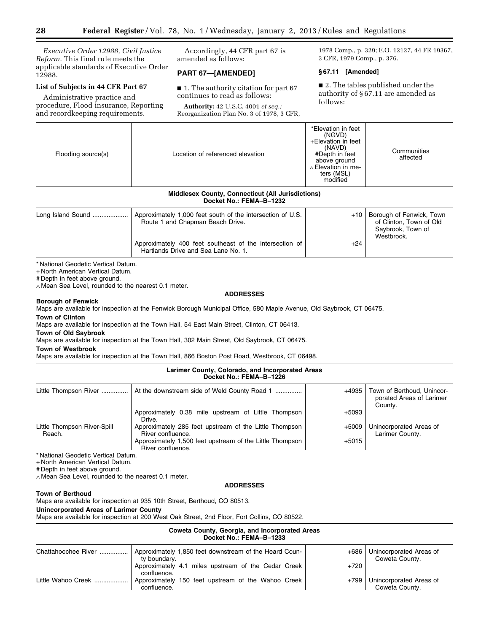*Executive Order 12988, Civil Justice Reform.* This final rule meets the applicable standards of Executive Order 12988.

# **List of Subjects in 44 CFR Part 67**

Administrative practice and procedure, Flood insurance, Reporting and recordkeeping requirements.

Accordingly, 44 CFR part 67 is amended as follows:

# **PART 67—[AMENDED]**

■ 1. The authority citation for part 67 continues to read as follows:

**Authority:** 42 U.S.C. 4001 *et seq.;*  Reorganization Plan No. 3 of 1978, 3 CFR, 1978 Comp., p. 329; E.O. 12127, 44 FR 19367, 3 CFR, 1979 Comp., p. 376.

# **§ 67.11 [Amended]**

■ 2. The tables published under the authority of § 67.11 are amended as follows:

| Flooding source(s) | Location of referenced elevation                                                               | *Elevation in feet<br>(NGVD)<br>+Elevation in feet<br>(NAVD)<br>#Depth in feet<br>above ground<br>$\land$ Elevation in me-<br>ters (MSL)<br>modified | Communities<br>affected                                                                |
|--------------------|------------------------------------------------------------------------------------------------|------------------------------------------------------------------------------------------------------------------------------------------------------|----------------------------------------------------------------------------------------|
|                    | <b>Middlesex County, Connecticut (All Jurisdictions)</b><br>Docket No.: FEMA-B-1232            |                                                                                                                                                      |                                                                                        |
| Long Island Sound  | Approximately 1,000 feet south of the intersection of U.S.<br>Route 1 and Chapman Beach Drive. | $+10$                                                                                                                                                | Borough of Fenwick, Town<br>of Clinton, Town of Old<br>Saybrook, Town of<br>Westbrook. |
|                    | Approximately 400 feet southeast of the intersection of                                        | $+24$                                                                                                                                                |                                                                                        |

Hartlands Drive and Sea Lane No. 1.

\* National Geodetic Vertical Datum.

+ North American Vertical Datum.

# Depth in feet above ground.

∧ Mean Sea Level, rounded to the nearest 0.1 meter.

### **Borough of Fenwick**

Maps are available for inspection at the Fenwick Borough Municipal Office, 580 Maple Avenue, Old Saybrook, CT 06475. **Town of Clinton** 

Maps are available for inspection at the Town Hall, 54 East Main Street, Clinton, CT 06413.

**Town of Old Saybrook** 

Maps are available for inspection at the Town Hall, 302 Main Street, Old Saybrook, CT 06475.

**Town of Westbrook** 

Maps are available for inspection at the Town Hall, 866 Boston Post Road, Westbrook, CT 06498.

### **Larimer County, Colorado, and Incorporated Areas Docket No.: FEMA–B–1226**

| Little Thompson River                 | At the downstream side of Weld County Road 1                                  | +4935   | Town of Berthoud, Unincor-<br>porated Areas of Larimer<br>County. |
|---------------------------------------|-------------------------------------------------------------------------------|---------|-------------------------------------------------------------------|
|                                       | Approximately 0.38 mile upstream of Little Thompson<br>Drive.                 | $+5093$ |                                                                   |
| Little Thompson River-Spill<br>Reach. | Approximately 285 feet upstream of the Little Thompson<br>River confluence.   | +5009   | Unincorporated Areas of<br>Larimer County.                        |
|                                       | Approximately 1,500 feet upstream of the Little Thompson<br>River confluence. | $+5015$ |                                                                   |

\* National Geodetic Vertical Datum.

+ North American Vertical Datum.

# Depth in feet above ground.

∧ Mean Sea Level, rounded to the nearest 0.1 meter.

### **ADDRESSES**

### **Town of Berthoud**

Maps are available for inspection at 935 10th Street, Berthoud, CO 80513.

### **Unincorporated Areas of Larimer County**

Maps are available for inspection at 200 West Oak Street, 2nd Floor, Fort Collins, CO 80522.

| Coweta County, Georgia, and Incorporated Areas<br>Docket No.: FEMA-B-1233 |                                                                        |        |                                           |
|---------------------------------------------------------------------------|------------------------------------------------------------------------|--------|-------------------------------------------|
| Chattahoochee River                                                       | Approximately 1,850 feet downstream of the Heard Coun-<br>ty boundary. | +686   | Unincorporated Areas of<br>Coweta County. |
|                                                                           | Approximately 4.1 miles upstream of the Cedar Creek<br>confluence.     | $+720$ |                                           |
| Little Wahoo Creek                                                        | Approximately 150 feet upstream of the Wahoo Creek<br>confluence.      | +799   | Unincorporated Areas of<br>Coweta County. |

**ADDRESSES**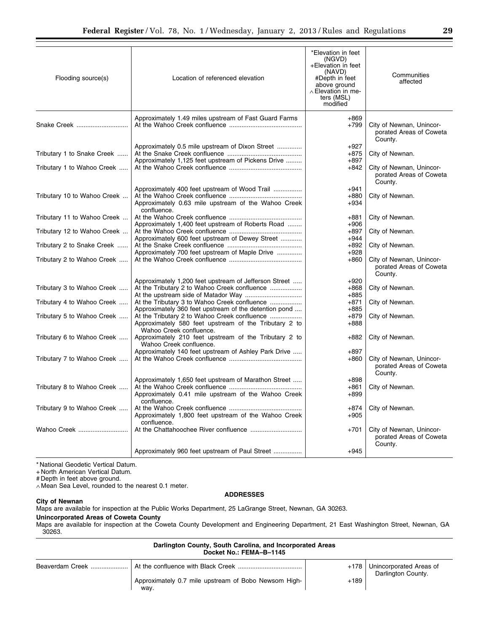| Flooding source(s)                                       | Location of referenced elevation                                                                                           | *Elevation in feet<br>(NGVD)<br>+Elevation in feet<br>(NAVD)<br>#Depth in feet<br>above ground<br>$\land$ Elevation in me-<br>ters (MSL)<br>modified | Communities<br>affected                                        |
|----------------------------------------------------------|----------------------------------------------------------------------------------------------------------------------------|------------------------------------------------------------------------------------------------------------------------------------------------------|----------------------------------------------------------------|
| Snake Creek                                              | Approximately 1.49 miles upstream of Fast Guard Farms                                                                      | $+869$<br>$+799$                                                                                                                                     | City of Newnan, Unincor-<br>porated Areas of Coweta<br>County. |
| Tributary 1 to Snake Creek<br>Tributary 1 to Wahoo Creek | Approximately 0.5 mile upstream of Dixon Street<br>Approximately 1,125 feet upstream of Pickens Drive                      | $+927$<br>$+875$<br>$+897$<br>+842                                                                                                                   | City of Newnan.<br>City of Newnan, Unincor-                    |
| Tributary 10 to Wahoo Creek                              | Approximately 400 feet upstream of Wood Trail                                                                              | $+941$<br>$+880$                                                                                                                                     | porated Areas of Coweta<br>County.<br>City of Newnan.          |
| Tributary 11 to Wahoo Creek                              | Approximately 0.63 mile upstream of the Wahoo Creek<br>confluence.                                                         | $+934$<br>+881                                                                                                                                       | City of Newnan.                                                |
| Tributary 12 to Wahoo Creek                              | Approximately 1,400 feet upstream of Roberts Road                                                                          | $+906$<br>$+897$                                                                                                                                     | City of Newnan.                                                |
| Tributary 2 to Snake Creek                               | Approximately 600 feet upstream of Dewey Street<br>Approximately 700 feet upstream of Maple Drive                          | $+944$<br>$+892$<br>$+928$                                                                                                                           | City of Newnan.                                                |
| Tributary 2 to Wahoo Creek                               |                                                                                                                            | $+860$                                                                                                                                               | City of Newnan, Unincor-<br>porated Areas of Coweta<br>County. |
| Tributary 3 to Wahoo Creek                               | Approximately 1,200 feet upstream of Jefferson Street<br>At the Tributary 2 to Wahoo Creek confluence                      | $+920$<br>$+868$<br>$+885$                                                                                                                           | City of Newnan.                                                |
| Tributary 4 to Wahoo Creek                               | Approximately 360 feet upstream of the detention pond                                                                      | +871<br>$+885$                                                                                                                                       | City of Newnan.                                                |
| Tributary 5 to Wahoo Creek                               | Approximately 580 feet upstream of the Tributary 2 to<br>Wahoo Creek confluence.                                           | $+879$<br>$+888$                                                                                                                                     | City of Newnan.                                                |
| Tributary 6 to Wahoo Creek                               | Approximately 210 feet upstream of the Tributary 2 to<br>Wahoo Creek confluence.                                           | +882                                                                                                                                                 | City of Newnan.                                                |
| Tributary 7 to Wahoo Creek                               | Approximately 140 feet upstream of Ashley Park Drive                                                                       | $+897$<br>$+860$                                                                                                                                     | City of Newnan, Unincor-<br>porated Areas of Coweta<br>County. |
| Tributary 8 to Wahoo Creek                               | Approximately 1,650 feet upstream of Marathon Street<br>Approximately 0.41 mile upstream of the Wahoo Creek<br>confluence. | $+898$<br>+861<br>+899                                                                                                                               | City of Newnan.                                                |
| Tributary 9 to Wahoo Creek                               | Approximately 1,800 feet upstream of the Wahoo Creek                                                                       | $+874$<br>$+905$                                                                                                                                     | City of Newnan.                                                |
| Wahoo Creek                                              | confluence.                                                                                                                | $+701$                                                                                                                                               | City of Newnan, Unincor-<br>porated Areas of Coweta<br>County. |
|                                                          | Approximately 960 feet upstream of Paul Street                                                                             | $+945$                                                                                                                                               |                                                                |

\* National Geodetic Vertical Datum.

+ North American Vertical Datum.

# Depth in feet above ground.

 $\overline{a}$ 

∧ Mean Sea Level, rounded to the nearest 0.1 meter.

# **ADDRESSES**

**City of Newnan**  Maps are available for inspection at the Public Works Department, 25 LaGrange Street, Newnan, GA 30263.

# **Unincorporated Areas of Coweta County**

Maps are available for inspection at the Coweta County Development and Engineering Department, 21 East Washington Street, Newnan, GA 30263.

| Darlington County, South Carolina, and Incorporated Areas<br>Docket No.: FEMA-B-1145 |                                                                           |        |                                                      |
|--------------------------------------------------------------------------------------|---------------------------------------------------------------------------|--------|------------------------------------------------------|
|                                                                                      | Beaverdam Creek …………………   At the confluence with Black Creek ……………………………… |        | +178   Unincorporated Areas of<br>Darlington County. |
|                                                                                      | Approximately 0.7 mile upstream of Bobo Newsom High-<br>wav.              | $+189$ |                                                      |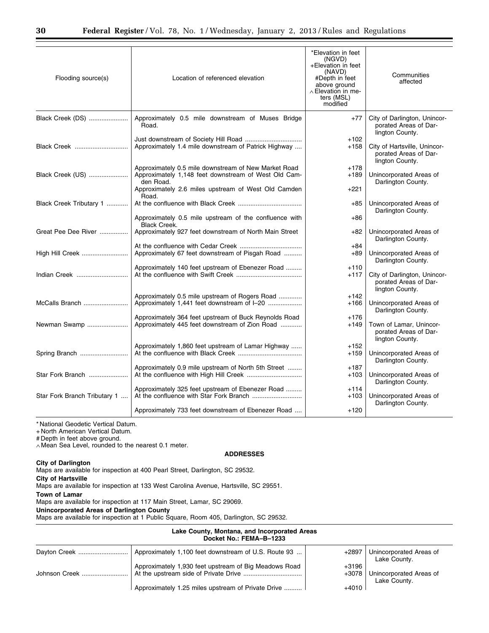| Flooding source(s)           | Location of referenced elevation                                                                                                                                                 | *Elevation in feet<br>(NGVD)<br>+Elevation in feet<br>(NAVD)<br>#Depth in feet<br>above ground<br>$\land$ Elevation in me-<br>ters (MSL)<br>modified | Communities<br>affected                                                  |
|------------------------------|----------------------------------------------------------------------------------------------------------------------------------------------------------------------------------|------------------------------------------------------------------------------------------------------------------------------------------------------|--------------------------------------------------------------------------|
| Black Creek (DS)             | Approximately 0.5 mile downstream of Muses Bridge<br>Road.                                                                                                                       | $+77$                                                                                                                                                | City of Darlington, Unincor-<br>porated Areas of Dar-<br>lington County. |
| Black Creek                  | Approximately 1.4 mile downstream of Patrick Highway                                                                                                                             | $+102$<br>$+158$                                                                                                                                     | City of Hartsville, Unincor-<br>porated Areas of Dar-<br>lington County. |
| Black Creek (US)             | Approximately 0.5 mile downstream of New Market Road<br>Approximately 1,148 feet downstream of West Old Cam-<br>den Road.<br>Approximately 2.6 miles upstream of West Old Camden | $+178$<br>$+189$<br>+221                                                                                                                             | Unincorporated Areas of<br>Darlington County.                            |
| Black Creek Tributary 1      | Road.                                                                                                                                                                            | $+85$                                                                                                                                                | Unincorporated Areas of<br>Darlington County.                            |
|                              | Approximately 0.5 mile upstream of the confluence with<br><b>Black Creek.</b>                                                                                                    | $+86$                                                                                                                                                |                                                                          |
| Great Pee Dee River          | Approximately 927 feet downstream of North Main Street                                                                                                                           | $+82$                                                                                                                                                | Unincorporated Areas of<br>Darlington County.                            |
| High Hill Creek              | Approximately 67 feet downstream of Pisgah Road                                                                                                                                  | $+84$<br>$+89$                                                                                                                                       | Unincorporated Areas of<br>Darlington County.                            |
| Indian Creek                 | Approximately 140 feet upstream of Ebenezer Road                                                                                                                                 | $+110$<br>$+117$                                                                                                                                     | City of Darlington, Unincor-<br>porated Areas of Dar-<br>lington County. |
| McCalls Branch               | Approximately 0.5 mile upstream of Rogers Road                                                                                                                                   | $+142$<br>$+166$                                                                                                                                     | Unincorporated Areas of<br>Darlington County.                            |
| Newman Swamp                 | Approximately 364 feet upstream of Buck Reynolds Road<br>Approximately 445 feet downstream of Zion Road                                                                          | $+176$<br>$+149$                                                                                                                                     | Town of Lamar, Unincor-<br>porated Areas of Dar-<br>lington County.      |
| Spring Branch                | Approximately 1,860 feet upstream of Lamar Highway                                                                                                                               | $+152$<br>$+159$                                                                                                                                     | Unincorporated Areas of<br>Darlington County.                            |
| Star Fork Branch             | Approximately 0.9 mile upstream of North 5th Street                                                                                                                              | $+187$<br>$+103$                                                                                                                                     | Unincorporated Areas of<br>Darlington County.                            |
| Star Fork Branch Tributary 1 | Approximately 325 feet upstream of Ebenezer Road                                                                                                                                 | $+114$<br>$+103$                                                                                                                                     | Unincorporated Areas of<br>Darlington County.                            |
|                              | Approximately 733 feet downstream of Ebenezer Road                                                                                                                               | $+120$                                                                                                                                               |                                                                          |

\* National Geodetic Vertical Datum.

+ North American Vertical Datum.

# Depth in feet above ground.

∧ Mean Sea Level, rounded to the nearest 0.1 meter.

### **ADDRESSES**

# **City of Darlington**

Maps are available for inspection at 400 Pearl Street, Darlington, SC 29532.

**City of Hartsville** 

Maps are available for inspection at 133 West Carolina Avenue, Hartsville, SC 29551.

**Town of Lamar** 

Maps are available for inspection at 117 Main Street, Lamar, SC 29069.

### **Unincorporated Areas of Darlington County**

Maps are available for inspection at 1 Public Square, Room 405, Darlington, SC 29532.

| Lake County, Montana, and Incorporated Areas<br>Docket No.: FEMA-B-1233 |                                                       |         |                                         |
|-------------------------------------------------------------------------|-------------------------------------------------------|---------|-----------------------------------------|
| Davton Creek                                                            | Approximately 1,100 feet downstream of U.S. Route 93  | +2897   | Unincorporated Areas of<br>Lake County. |
|                                                                         | Approximately 1,930 feet upstream of Big Meadows Road | $+3196$ |                                         |
| Johnson Creek                                                           |                                                       | $+3078$ | Unincorporated Areas of<br>Lake County. |
|                                                                         | Approximately 1.25 miles upstream of Private Drive    | $+4010$ |                                         |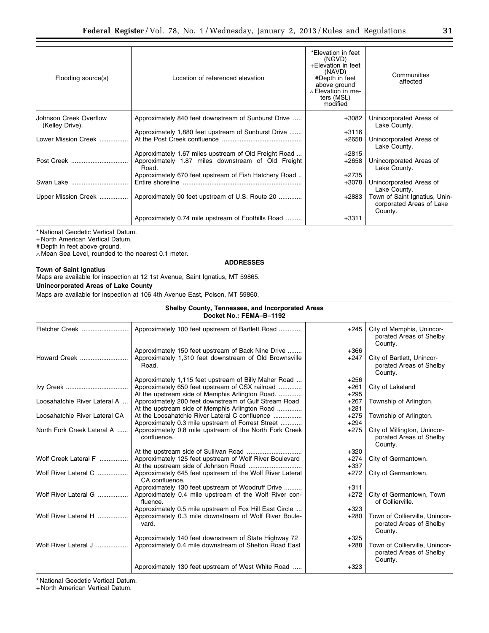| Flooding source(s)                        | Location of referenced elevation                            | *Elevation in feet<br>(NGVD)<br>+Elevation in feet<br>(NAVD)<br>#Depth in feet<br>above ground<br>$\land$ Elevation in me-<br>ters (MSL)<br>modified | Communities<br>affected                                              |
|-------------------------------------------|-------------------------------------------------------------|------------------------------------------------------------------------------------------------------------------------------------------------------|----------------------------------------------------------------------|
| Johnson Creek Overflow<br>(Kelley Drive). | Approximately 840 feet downstream of Sunburst Drive         | $+3082$                                                                                                                                              | Unincorporated Areas of<br>Lake County.                              |
|                                           | Approximately 1,880 feet upstream of Sunburst Drive         | $+3116$                                                                                                                                              |                                                                      |
| Lower Mission Creek                       |                                                             | $+2658$                                                                                                                                              | Unincorporated Areas of<br>Lake County.                              |
|                                           | Approximately 1.67 miles upstream of Old Freight Road       | $+2815$                                                                                                                                              |                                                                      |
|                                           | Approximately 1.87 miles downstream of Old Freight<br>Road. | $+2658$                                                                                                                                              | Unincorporated Areas of<br>Lake County.                              |
|                                           | Approximately 670 feet upstream of Fish Hatchery Road       | $+2735$                                                                                                                                              |                                                                      |
| Swan Lake                                 |                                                             | $+3078$                                                                                                                                              | Unincorporated Areas of<br>Lake County.                              |
| Upper Mission Creek                       | Approximately 90 feet upstream of U.S. Route 20             | +2883                                                                                                                                                | Town of Saint Ignatius, Unin-<br>corporated Areas of Lake<br>County. |
|                                           | Approximately 0.74 mile upstream of Foothills Road          | $+3311$                                                                                                                                              |                                                                      |
|                                           |                                                             |                                                                                                                                                      |                                                                      |

\* National Geodetic Vertical Datum.

+ North American Vertical Datum.

# Depth in feet above ground.

∧ Mean Sea Level, rounded to the nearest 0.1 meter.

### **ADDRESSES**

### **Town of Saint Ignatius**

Maps are available for inspection at 12 1st Avenue, Saint Ignatius, MT 59865.

**Unincorporated Areas of Lake County** 

Maps are available for inspection at 106 4th Avenue East, Polson, MT 59860.

### **Shelby County, Tennessee, and Incorporated Areas Docket No.: FEMA–B–1192**

| Fletcher Creek                | Approximately 100 feet upstream of Bartlett Road                                                                                                            | $+245$                     | City of Memphis, Unincor-<br>porated Areas of Shelby<br>County.      |
|-------------------------------|-------------------------------------------------------------------------------------------------------------------------------------------------------------|----------------------------|----------------------------------------------------------------------|
| Howard Creek                  | Approximately 150 feet upstream of Back Nine Drive<br>Approximately 1,310 feet downstream of Old Brownsville<br>Road.                                       | $+366$<br>$+247$           | City of Bartlett, Unincor-<br>porated Areas of Shelby<br>County.     |
|                               | Approximately 1,115 feet upstream of Billy Maher Road<br>Approximately 650 feet upstream of CSX railroad<br>At the upstream side of Memphis Arlington Road. | $+256$<br>$+261$<br>$+295$ | City of Lakeland                                                     |
| Loosahatchie River Lateral A  | Approximately 200 feet downstream of Gulf Stream Road<br>At the upstream side of Memphis Arlington Road                                                     | $+267$<br>$+281$           | Township of Arlington.                                               |
| Loosahatchie River Lateral CA | At the Loosahatchie River Lateral C confluence<br>Approximately 0.3 mile upstream of Forrest Street                                                         | $+275$<br>$+294$           | Township of Arlington.                                               |
| North Fork Creek Lateral A    | Approximately 0.8 mile upstream of the North Fork Creek<br>confluence.                                                                                      | $+275$                     | City of Millington, Unincor-<br>porated Areas of Shelby<br>County.   |
|                               |                                                                                                                                                             | $+320$                     |                                                                      |
| Wolf Creek Lateral F          | Approximately 125 feet upstream of Wolf River Boulevard                                                                                                     | +274                       | City of Germantown.                                                  |
|                               |                                                                                                                                                             | $+337$                     |                                                                      |
| Wolf River Lateral C          | Approximately 645 feet upstream of the Wolf River Lateral<br>CA confluence.                                                                                 | $+272$                     | City of Germantown.                                                  |
|                               | Approximately 130 feet upstream of Woodruff Drive                                                                                                           | $+311$                     |                                                                      |
| Wolf River Lateral G          | Approximately 0.4 mile upstream of the Wolf River con-<br>fluence.                                                                                          | $+272$                     | City of Germantown, Town<br>of Collierville.                         |
|                               | Approximately 0.5 mile upstream of Fox Hill East Circle                                                                                                     | $+323$                     |                                                                      |
| Wolf River Lateral H          | Approximately 0.3 mile downstream of Wolf River Boule-<br>vard.                                                                                             | $+280$                     | Town of Collierville, Unincor-<br>porated Areas of Shelby<br>County. |
|                               | Approximately 140 feet downstream of State Highway 72                                                                                                       | $+325$                     |                                                                      |
| Wolf River Lateral J          | Approximately 0.4 mile downstream of Shelton Road East                                                                                                      | $+288$                     | Town of Collierville, Unincor-<br>porated Areas of Shelby<br>County. |
|                               | Approximately 130 feet upstream of West White Road                                                                                                          | $+323$                     |                                                                      |

\* National Geodetic Vertical Datum.

+ North American Vertical Datum.